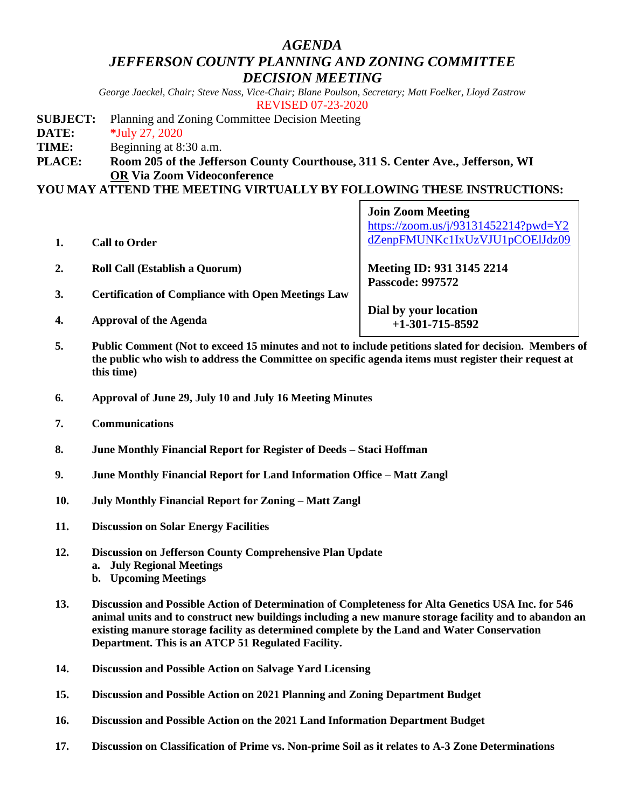# *AGENDA JEFFERSON COUNTY PLANNING AND ZONING COMMITTEE DECISION MEETING*

*George Jaeckel, Chair; Steve Nass, Vice-Chair; Blane Poulson, Secretary; Matt Foelker, Lloyd Zastrow* REVISED 07-23-2020

- **SUBJECT:** Planning and Zoning Committee Decision Meeting
- **DATE: \***July 27, 2020
- **TIME:** Beginning at 8:30 a.m.
- **PLACE: Room 205 of the Jefferson County Courthouse, 311 S. Center Ave., Jefferson, WI OR Via Zoom Videoconference**

## **YOU MAY ATTEND THE MEETING VIRTUALLY BY FOLLOWING THESE INSTRUCTIONS:**

|    |                                                                                                    | <b>Join Zoom Meeting</b><br>https://zoom.us/j/93131452214?pwd=Y2 |
|----|----------------------------------------------------------------------------------------------------|------------------------------------------------------------------|
|    | <b>Call to Order</b>                                                                               | dZenpFMUNKc1IxUzVJU1pCOElJdz09                                   |
|    | <b>Roll Call (Establish a Quorum)</b>                                                              | Meeting ID: 931 3145 2214                                        |
| 3. | <b>Certification of Compliance with Open Meetings Law</b>                                          | <b>Passcode: 997572</b>                                          |
| 4. | <b>Approval of the Agenda</b>                                                                      | Dial by your location<br>$+1-301-715-8592$                       |
|    | Duklig Commont (Not to ground 15 minutes and not to include notifiers slated for decision. Monkeye |                                                                  |

- **5. Public Comment (Not to exceed 15 minutes and not to include petitions slated for decision. Members of the public who wish to address the Committee on specific agenda items must register their request at this time)**
- **6. Approval of June 29, July 10 and July 16 Meeting Minutes**
- **7. Communications**
- **8. June Monthly Financial Report for Register of Deeds – Staci Hoffman**
- **9. June Monthly Financial Report for Land Information Office – Matt Zangl**
- **10. July Monthly Financial Report for Zoning – Matt Zangl**
- **11. Discussion on Solar Energy Facilities**
- **12. Discussion on Jefferson County Comprehensive Plan Update**
	- **a. July Regional Meetings**
	- **b. Upcoming Meetings**
- **13. Discussion and Possible Action of Determination of Completeness for Alta Genetics USA Inc. for 546 animal units and to construct new buildings including a new manure storage facility and to abandon an existing manure storage facility as determined complete by the Land and Water Conservation Department. This is an ATCP 51 Regulated Facility.**
- **14. Discussion and Possible Action on Salvage Yard Licensing**
- **15. Discussion and Possible Action on 2021 Planning and Zoning Department Budget**
- **16. Discussion and Possible Action on the 2021 Land Information Department Budget**
- **17. Discussion on Classification of Prime vs. Non-prime Soil as it relates to A-3 Zone Determinations**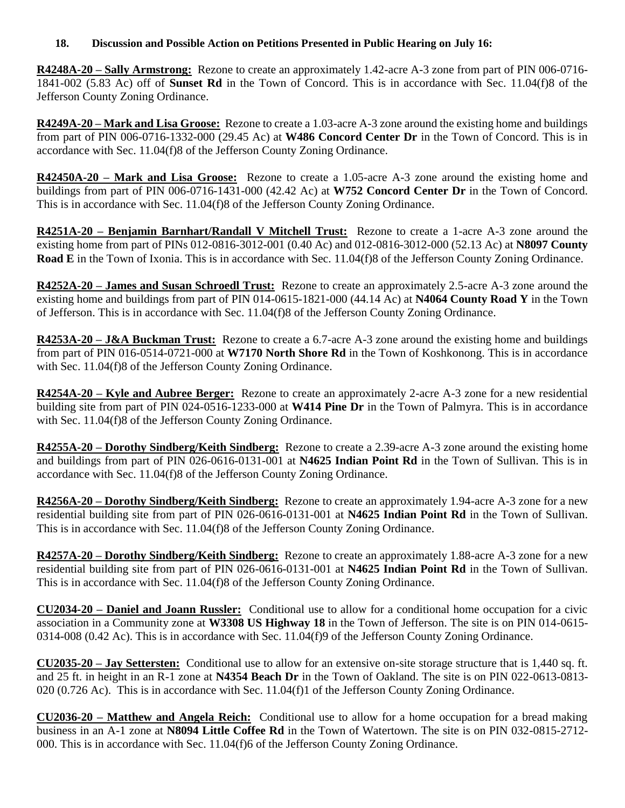## **18. Discussion and Possible Action on Petitions Presented in Public Hearing on July 16:**

**R4248A-20 – Sally Armstrong:** Rezone to create an approximately 1.42-acre A-3 zone from part of PIN 006-0716- 1841-002 (5.83 Ac) off of **Sunset Rd** in the Town of Concord. This is in accordance with Sec. 11.04(f)8 of the Jefferson County Zoning Ordinance.

**R4249A-20 – Mark and Lisa Groose:** Rezone to create a 1.03-acre A-3 zone around the existing home and buildings from part of PIN 006-0716-1332-000 (29.45 Ac) at **W486 Concord Center Dr** in the Town of Concord. This is in accordance with Sec. 11.04(f)8 of the Jefferson County Zoning Ordinance.

**R42450A-20 – Mark and Lisa Groose:** Rezone to create a 1.05-acre A-3 zone around the existing home and buildings from part of PIN 006-0716-1431-000 (42.42 Ac) at **W752 Concord Center Dr** in the Town of Concord. This is in accordance with Sec. 11.04(f)8 of the Jefferson County Zoning Ordinance.

**R4251A-20 – Benjamin Barnhart/Randall V Mitchell Trust:** Rezone to create a 1-acre A-3 zone around the existing home from part of PINs 012-0816-3012-001 (0.40 Ac) and 012-0816-3012-000 (52.13 Ac) at **N8097 County Road E** in the Town of Ixonia. This is in accordance with Sec. 11.04(f)8 of the Jefferson County Zoning Ordinance.

**R4252A-20 – James and Susan Schroedl Trust:** Rezone to create an approximately 2.5-acre A-3 zone around the existing home and buildings from part of PIN 014-0615-1821-000 (44.14 Ac) at **N4064 County Road Y** in the Town of Jefferson. This is in accordance with Sec. 11.04(f)8 of the Jefferson County Zoning Ordinance.

**R4253A-20 – J&A Buckman Trust:** Rezone to create a 6.7-acre A-3 zone around the existing home and buildings from part of PIN 016-0514-0721-000 at **W7170 North Shore Rd** in the Town of Koshkonong. This is in accordance with Sec. 11.04(f)8 of the Jefferson County Zoning Ordinance.

**R4254A-20 – Kyle and Aubree Berger:** Rezone to create an approximately 2-acre A-3 zone for a new residential building site from part of PIN 024-0516-1233-000 at **W414 Pine Dr** in the Town of Palmyra. This is in accordance with Sec. 11.04(f)8 of the Jefferson County Zoning Ordinance.

**R4255A-20 – Dorothy Sindberg/Keith Sindberg:** Rezone to create a 2.39-acre A-3 zone around the existing home and buildings from part of PIN 026-0616-0131-001 at **N4625 Indian Point Rd** in the Town of Sullivan. This is in accordance with Sec. 11.04(f)8 of the Jefferson County Zoning Ordinance.

**R4256A-20 – Dorothy Sindberg/Keith Sindberg:** Rezone to create an approximately 1.94-acre A-3 zone for a new residential building site from part of PIN 026-0616-0131-001 at **N4625 Indian Point Rd** in the Town of Sullivan. This is in accordance with Sec. 11.04(f)8 of the Jefferson County Zoning Ordinance.

**R4257A-20 – Dorothy Sindberg/Keith Sindberg:** Rezone to create an approximately 1.88-acre A-3 zone for a new residential building site from part of PIN 026-0616-0131-001 at **N4625 Indian Point Rd** in the Town of Sullivan. This is in accordance with Sec. 11.04(f)8 of the Jefferson County Zoning Ordinance.

**CU2034-20 – Daniel and Joann Russler:** Conditional use to allow for a conditional home occupation for a civic association in a Community zone at **W3308 US Highway 18** in the Town of Jefferson. The site is on PIN 014-0615- 0314-008 (0.42 Ac). This is in accordance with Sec. 11.04(f)9 of the Jefferson County Zoning Ordinance.

**CU2035-20 – Jay Settersten:** Conditional use to allow for an extensive on-site storage structure that is 1,440 sq. ft. and 25 ft. in height in an R-1 zone at **N4354 Beach Dr** in the Town of Oakland. The site is on PIN 022-0613-0813- 020 (0.726 Ac). This is in accordance with Sec. 11.04(f)1 of the Jefferson County Zoning Ordinance.

**CU2036-20 – Matthew and Angela Reich:** Conditional use to allow for a home occupation for a bread making business in an A-1 zone at **N8094 Little Coffee Rd** in the Town of Watertown. The site is on PIN 032-0815-2712- 000. This is in accordance with Sec. 11.04(f)6 of the Jefferson County Zoning Ordinance.